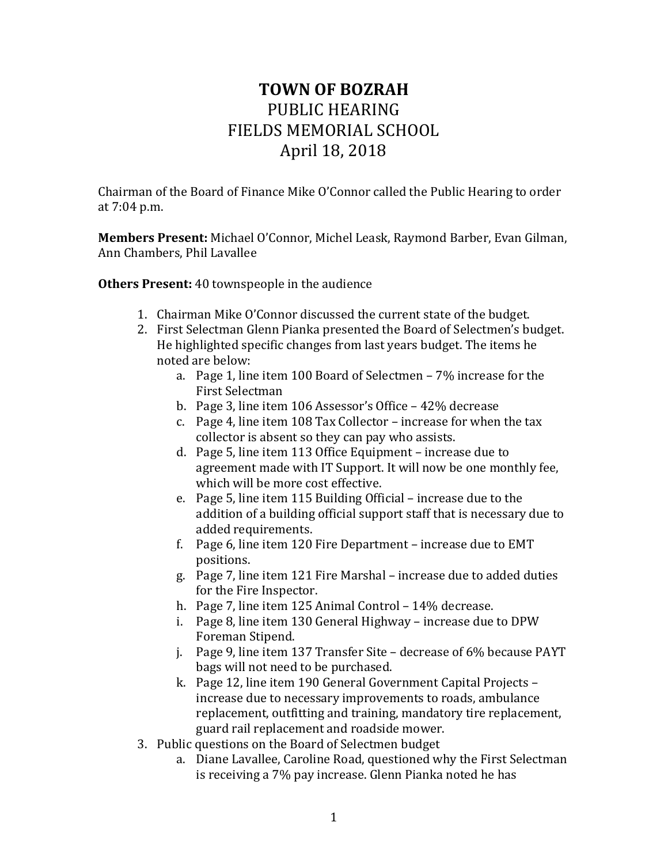## **TOWN OF BOZRAH** PUBLIC HEARING FIELDS MEMORIAL SCHOOL April 18, 2018

Chairman of the Board of Finance Mike O'Connor called the Public Hearing to order at 7:04 p.m.

**Members Present:** Michael O'Connor, Michel Leask, Raymond Barber, Evan Gilman, Ann Chambers, Phil Lavallee

**Others Present:** 40 townspeople in the audience

- 1. Chairman Mike O'Connor discussed the current state of the budget.
- 2. First Selectman Glenn Pianka presented the Board of Selectmen's budget. He highlighted specific changes from last years budget. The items he noted are below:
	- a. Page 1, line item 100 Board of Selectmen 7% increase for the First Selectman
	- b. Page 3, line item 106 Assessor's Office 42% decrease
	- c. Page 4, line item 108 Tax Collector increase for when the tax collector is absent so they can pay who assists.
	- d. Page 5, line item 113 Office Equipment increase due to agreement made with IT Support. It will now be one monthly fee, which will be more cost effective.
	- e. Page 5, line item 115 Building Official increase due to the addition of a building official support staff that is necessary due to added requirements.
	- f. Page 6, line item 120 Fire Department increase due to EMT positions.
	- g. Page 7, line item 121 Fire Marshal increase due to added duties for the Fire Inspector.
	- h. Page 7, line item 125 Animal Control 14% decrease.
	- i. Page 8, line item 130 General Highway increase due to DPW Foreman Stipend.
	- j. Page 9, line item 137 Transfer Site decrease of 6% because PAYT bags will not need to be purchased.
	- k. Page 12, line item 190 General Government Capital Projects increase due to necessary improvements to roads, ambulance replacement, outfitting and training, mandatory tire replacement, guard rail replacement and roadside mower.
- 3. Public questions on the Board of Selectmen budget
	- a. Diane Lavallee, Caroline Road, questioned why the First Selectman is receiving a 7% pay increase. Glenn Pianka noted he has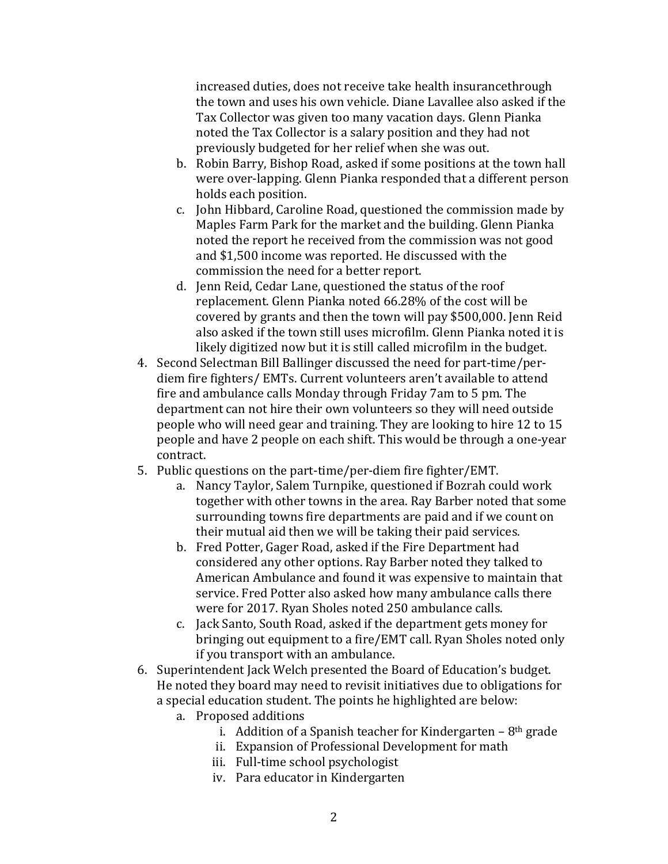increased duties, does not receive take health insurancethrough the town and uses his own vehicle. Diane Lavallee also asked if the Tax Collector was given too many vacation days. Glenn Pianka noted the Tax Collector is a salary position and they had not previously budgeted for her relief when she was out.

- b. Robin Barry, Bishop Road, asked if some positions at the town hall were over-lapping. Glenn Pianka responded that a different person holds each position.
- c. John Hibbard, Caroline Road, questioned the commission made by Maples Farm Park for the market and the building. Glenn Pianka noted the report he received from the commission was not good and \$1,500 income was reported. He discussed with the commission the need for a better report.
- d. Jenn Reid, Cedar Lane, questioned the status of the roof replacement. Glenn Pianka noted 66.28% of the cost will be covered by grants and then the town will pay \$500,000. Jenn Reid also asked if the town still uses microfilm. Glenn Pianka noted it is likely digitized now but it is still called microfilm in the budget.
- 4. Second Selectman Bill Ballinger discussed the need for part-time/perdiem fire fighters/ EMTs. Current volunteers aren't available to attend fire and ambulance calls Monday through Friday 7am to 5 pm. The department can not hire their own volunteers so they will need outside people who will need gear and training. They are looking to hire 12 to 15 people and have 2 people on each shift. This would be through a one-year contract.
- 5. Public questions on the part-time/per-diem fire fighter/EMT.
	- a. Nancy Taylor, Salem Turnpike, questioned if Bozrah could work together with other towns in the area. Ray Barber noted that some surrounding towns fire departments are paid and if we count on their mutual aid then we will be taking their paid services.
	- b. Fred Potter, Gager Road, asked if the Fire Department had considered any other options. Ray Barber noted they talked to American Ambulance and found it was expensive to maintain that service. Fred Potter also asked how many ambulance calls there were for 2017. Ryan Sholes noted 250 ambulance calls.
	- c. Jack Santo, South Road, asked if the department gets money for bringing out equipment to a fire/EMT call. Ryan Sholes noted only if you transport with an ambulance.
- 6. Superintendent Jack Welch presented the Board of Education's budget. He noted they board may need to revisit initiatives due to obligations for a special education student. The points he highlighted are below:
	- a. Proposed additions
		- i. Addition of a Spanish teacher for Kindergarten  $-8<sup>th</sup>$  grade
		- ii. Expansion of Professional Development for math
		- iii. Full-time school psychologist
		- iv. Para educator in Kindergarten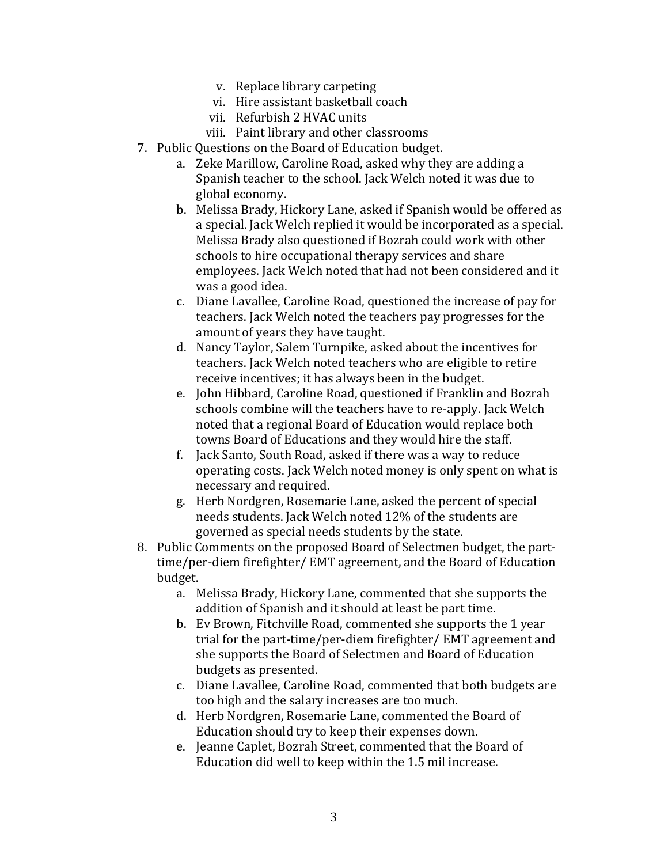- v. Replace library carpeting
- vi. Hire assistant basketball coach
- vii. Refurbish 2 HVAC units
- viii. Paint library and other classrooms
- 7. Public Questions on the Board of Education budget.
	- a. Zeke Marillow, Caroline Road, asked why they are adding a Spanish teacher to the school. Jack Welch noted it was due to global economy.
	- b. Melissa Brady, Hickory Lane, asked if Spanish would be offered as a special. Jack Welch replied it would be incorporated as a special. Melissa Brady also questioned if Bozrah could work with other schools to hire occupational therapy services and share employees. Jack Welch noted that had not been considered and it was a good idea.
	- c. Diane Lavallee, Caroline Road, questioned the increase of pay for teachers. Jack Welch noted the teachers pay progresses for the amount of years they have taught.
	- d. Nancy Taylor, Salem Turnpike, asked about the incentives for teachers. Jack Welch noted teachers who are eligible to retire receive incentives; it has always been in the budget.
	- e. John Hibbard, Caroline Road, questioned if Franklin and Bozrah schools combine will the teachers have to re-apply. Jack Welch noted that a regional Board of Education would replace both towns Board of Educations and they would hire the staff.
	- f. Jack Santo, South Road, asked if there was a way to reduce operating costs. Jack Welch noted money is only spent on what is necessary and required.
	- g. Herb Nordgren, Rosemarie Lane, asked the percent of special needs students. Jack Welch noted 12% of the students are governed as special needs students by the state.
- 8. Public Comments on the proposed Board of Selectmen budget, the parttime/per-diem firefighter/ EMT agreement, and the Board of Education budget.
	- a. Melissa Brady, Hickory Lane, commented that she supports the addition of Spanish and it should at least be part time.
	- b. Ev Brown, Fitchville Road, commented she supports the 1 year trial for the part-time/per-diem firefighter/ EMT agreement and she supports the Board of Selectmen and Board of Education budgets as presented.
	- c. Diane Lavallee, Caroline Road, commented that both budgets are too high and the salary increases are too much.
	- d. Herb Nordgren, Rosemarie Lane, commented the Board of Education should try to keep their expenses down.
	- e. Jeanne Caplet, Bozrah Street, commented that the Board of Education did well to keep within the 1.5 mil increase.